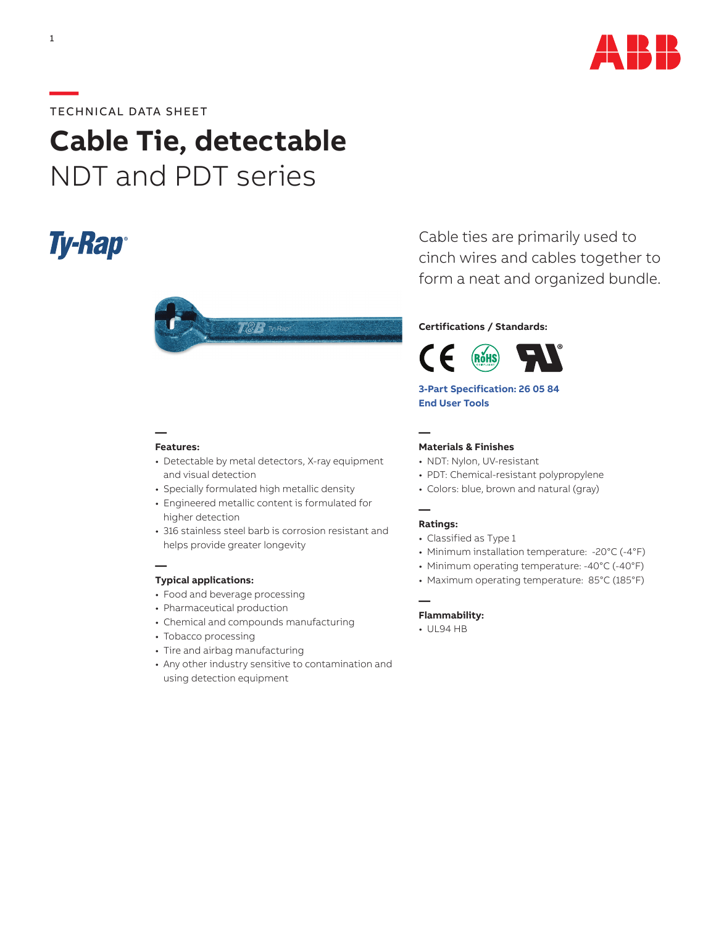

# **—**TECHNICAL DATA SHEET

# **Cable Tie, detectable** NDT and PDT series

# **Ty-Rap**



#### **Features:**

**—**

**—**

- Detectable by metal detectors, X-ray equipment and visual detection
- Specially formulated high metallic density
- Engineered metallic content is formulated for higher detection
- 316 stainless steel barb is corrosion resistant and helps provide greater longevity

### **Typical applications:**

- Food and beverage processing
- Pharmaceutical production
- Chemical and compounds manufacturing
- Tobacco processing
- Tire and airbag manufacturing
- Any other industry sensitive to contamination and using detection equipment

Cable ties are primarily used to cinch wires and cables together to form a neat and organized bundle.

#### **Certifications / Standards:**



**[3-Part Specification: 26 05 84](http://www-public.tnb.com/ps/pubint/specguide.cgi) [End User Tools](http://tnb.abb.com/pub/en/node/258)** 

**—**

## **Materials & Finishes**

- NDT: Nylon, UV-resistant
- PDT: Chemical-resistant polypropylene
- Colors: blue, brown and natural (gray)

#### **Ratings:**

**—**

**—**

- Classified as Type 1
- Minimum installation temperature: -20°C (-4°F)
- Minimum operating temperature: -40°C (-40°F)
- Maximum operating temperature: 85°C (185°F)

#### **Flammability:**

• UL94 HB